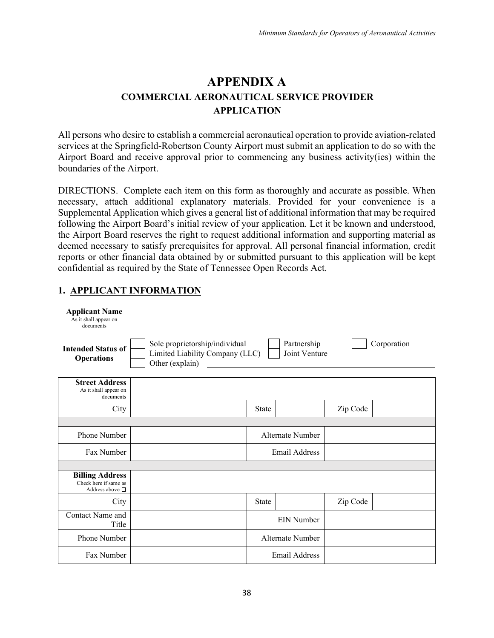## **APPENDIX A COMMERCIAL AERONAUTICAL SERVICE PROVIDER APPLICATION**

All persons who desire to establish a commercial aeronautical operation to provide aviation-related services at the Springfield-Robertson County Airport must submit an application to do so with the Airport Board and receive approval prior to commencing any business activity(ies) within the boundaries of the Airport.

DIRECTIONS. Complete each item on this form as thoroughly and accurate as possible. When necessary, attach additional explanatory materials. Provided for your convenience is a Supplemental Application which gives a general list of additional information that may be required following the Airport Board's initial review of your application. Let it be known and understood, the Airport Board reserves the right to request additional information and supporting material as deemed necessary to satisfy prerequisites for approval. All personal financial information, credit reports or other financial data obtained by or submitted pursuant to this application will be kept confidential as required by the State of Tennessee Open Records Act.

## **1. APPLICANT INFORMATION**

| <b>Applicant Name</b><br>As it shall appear on<br>documents                |                                                                                      |              |                              |          |             |
|----------------------------------------------------------------------------|--------------------------------------------------------------------------------------|--------------|------------------------------|----------|-------------|
| <b>Intended Status of</b><br><b>Operations</b>                             | Sole proprietorship/individual<br>Limited Liability Company (LLC)<br>Other (explain) |              | Partnership<br>Joint Venture |          | Corporation |
| <b>Street Address</b><br>As it shall appear on<br>documents                |                                                                                      |              |                              |          |             |
| City                                                                       |                                                                                      | <b>State</b> |                              | Zip Code |             |
|                                                                            |                                                                                      |              |                              |          |             |
| <b>Phone Number</b>                                                        |                                                                                      |              | Alternate Number             |          |             |
| Fax Number                                                                 |                                                                                      |              | <b>Email Address</b>         |          |             |
|                                                                            |                                                                                      |              |                              |          |             |
| <b>Billing Address</b><br>Check here if same as<br>Address above $\square$ |                                                                                      |              |                              |          |             |
| City                                                                       |                                                                                      | <b>State</b> |                              | Zip Code |             |
| Contact Name and<br>Title                                                  |                                                                                      |              | EIN Number                   |          |             |
| Phone Number                                                               |                                                                                      |              | Alternate Number             |          |             |
| Fax Number                                                                 |                                                                                      |              | <b>Email Address</b>         |          |             |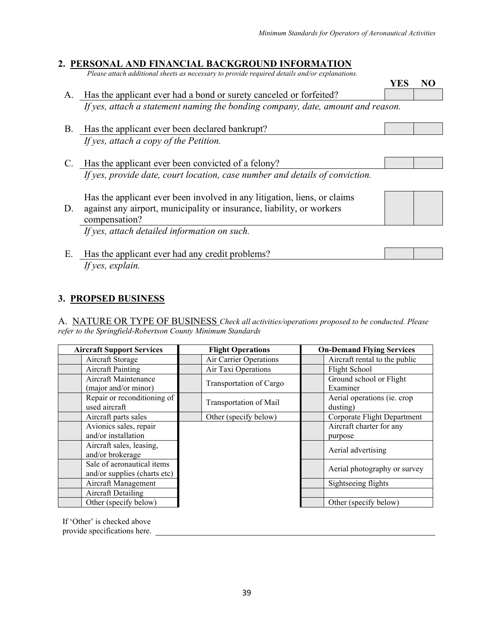### **2. PERSONAL AND FINANCIAL BACKGROUND INFORMATION**

*Please attach additional sheets as necessary to provide required details and/or explanations.*

|    |                                                                                 | <b>YES</b> |  |
|----|---------------------------------------------------------------------------------|------------|--|
| Α. | Has the applicant ever had a bond or surety canceled or forfeited?              |            |  |
|    | If yes, attach a statement naming the bonding company, date, amount and reason. |            |  |
| В. | Has the applicant ever been declared bankrupt?                                  |            |  |
|    | If yes, attach a copy of the Petition.                                          |            |  |
| C. | Has the applicant ever been convicted of a felony?                              |            |  |
|    | If yes, provide date, court location, case number and details of conviction.    |            |  |
|    | Has the applicant ever been involved in any litigation, liens, or claims        |            |  |
| D. | against any airport, municipality or insurance, liability, or workers           |            |  |
|    | compensation?                                                                   |            |  |
|    | If yes, attach detailed information on such.                                    |            |  |
| Е. | Has the applicant ever had any credit problems?                                 |            |  |

# *If yes, explain.*

### **3. PROPSED BUSINESS**

A. NATURE OR TYPE OF BUSINESS *Check all activities/operations proposed to be conducted. Please refer to the Springfield-Robertson County Minimum Standards*

| <b>Aircraft Support Services</b> | <b>Flight Operations</b> | <b>On-Demand Flying Services</b> |  |
|----------------------------------|--------------------------|----------------------------------|--|
| Aircraft Storage                 | Air Carrier Operations   | Aircraft rental to the public    |  |
| <b>Aircraft Painting</b>         | Air Taxi Operations      | Flight School                    |  |
| Aircraft Maintenance             | Transportation of Cargo  | Ground school or Flight          |  |
| (major and/or minor)             |                          | Examiner                         |  |
| Repair or reconditioning of      | Transportation of Mail   | Aerial operations (ie. crop      |  |
| used aircraft                    |                          | dusting)                         |  |
| Aircraft parts sales             | Other (specify below)    | Corporate Flight Department      |  |
| Avionics sales, repair           |                          | Aircraft charter for any         |  |
| and/or installation              |                          | purpose                          |  |
| Aircraft sales, leasing,         |                          | Aerial advertising               |  |
| and/or brokerage                 |                          |                                  |  |
| Sale of aeronautical items       |                          | Aerial photography or survey     |  |
| and/or supplies (charts etc)     |                          |                                  |  |
| Aircraft Management              |                          | Sightseeing flights              |  |
| <b>Aircraft Detailing</b>        |                          |                                  |  |
| Other (specify below)            |                          | Other (specify below)            |  |

If 'Other' is checked above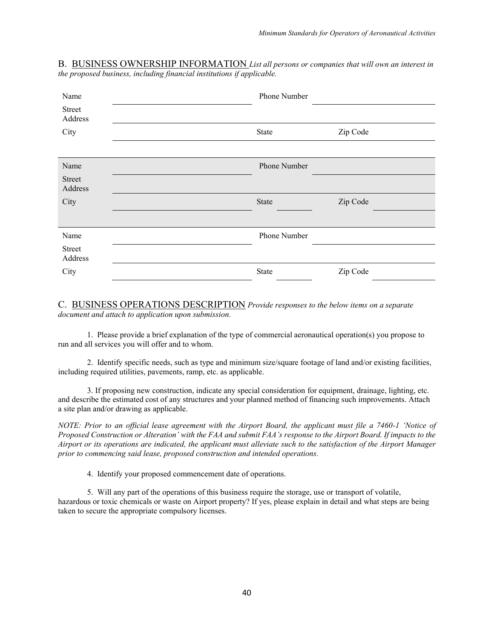B. BUSINESS OWNERSHIP INFORMATION *List all persons or companies that will own an interest in the proposed business, including financial institutions if applicable.*

| Name                     | Phone Number |          |
|--------------------------|--------------|----------|
| <b>Street</b><br>Address |              |          |
| City                     | State        | Zip Code |
|                          |              |          |
| Name                     | Phone Number |          |
| <b>Street</b><br>Address |              |          |
| City                     | State        | Zip Code |
|                          |              |          |
| Name                     | Phone Number |          |
| <b>Street</b><br>Address |              |          |
| City                     | State        | Zip Code |

C. BUSINESS OPERATIONS DESCRIPTION *Provide responses to the below items on a separate document and attach to application upon submission.*

1. Please provide a brief explanation of the type of commercial aeronautical operation(s) you propose to run and all services you will offer and to whom.

2. Identify specific needs, such as type and minimum size/square footage of land and/or existing facilities, including required utilities, pavements, ramp, etc. as applicable.

3. If proposing new construction, indicate any special consideration for equipment, drainage, lighting, etc. and describe the estimated cost of any structures and your planned method of financing such improvements. Attach a site plan and/or drawing as applicable.

*NOTE: Prior to an official lease agreement with the Airport Board, the applicant must file a 7460-1 'Notice of Proposed Construction or Alteration' with the FAA and submit FAA's response to the Airport Board. If impacts to the Airport or its operations are indicated, the applicant must alleviate such to the satisfaction of the Airport Manager prior to commencing said lease, proposed construction and intended operations.*

4. Identify your proposed commencement date of operations.

5. Will any part of the operations of this business require the storage, use or transport of volatile, hazardous or toxic chemicals or waste on Airport property? If yes, please explain in detail and what steps are being taken to secure the appropriate compulsory licenses.